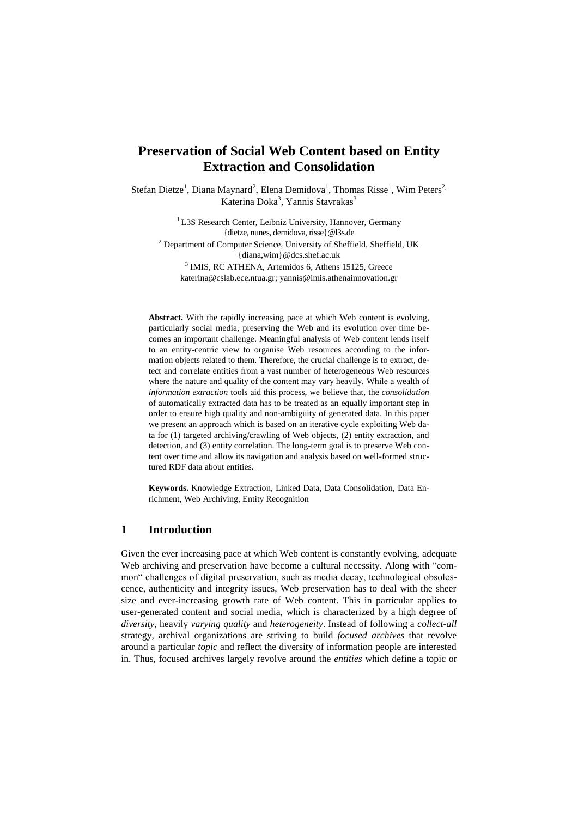# **Preservation of Social Web Content based on Entity Extraction and Consolidation**

Stefan Dietze<sup>1</sup>, Diana Maynard<sup>2</sup>, Elena Demidova<sup>1</sup>, Thomas Risse<sup>1</sup>, Wim Peters<sup>2,</sup> Katerina Doka<sup>3</sup>, Yannis Stavrakas<sup>3</sup>

> <sup>1</sup> L3S Research Center, Leibniz University, Hannover, Germany {dietze, nunes, demidova[, risse}@l3s.de](mailto:risse%7d@l3s.de)

<sup>2</sup> Department of Computer Science, University of Sheffield, Sheffield, UK {diana,wim}@dcs.shef.ac.uk

<sup>3</sup> IMIS, RC ATHENA, Artemidos 6, Athens 15125, Greece [katerina@cslab.ece.ntua.gr;](mailto:katerina@cslab.ece.ntua.gr) yannis@imis.athenainnovation.gr

**Abstract.** With the rapidly increasing pace at which Web content is evolving, particularly social media, preserving the Web and its evolution over time becomes an important challenge. Meaningful analysis of Web content lends itself to an entity-centric view to organise Web resources according to the information objects related to them. Therefore, the crucial challenge is to extract, detect and correlate entities from a vast number of heterogeneous Web resources where the nature and quality of the content may vary heavily. While a wealth of *information extraction* tools aid this process, we believe that, the *consolidation* of automatically extracted data has to be treated as an equally important step in order to ensure high quality and non-ambiguity of generated data. In this paper we present an approach which is based on an iterative cycle exploiting Web data for (1) targeted archiving/crawling of Web objects, (2) entity extraction, and detection, and (3) entity correlation. The long-term goal is to preserve Web content over time and allow its navigation and analysis based on well-formed structured RDF data about entities.

**Keywords.** Knowledge Extraction, Linked Data, Data Consolidation, Data Enrichment, Web Archiving, Entity Recognition

### **1 Introduction**

Given the ever increasing pace at which Web content is constantly evolving, adequate Web archiving and preservation have become a cultural necessity. Along with "common" challenges of digital preservation, such as media decay, technological obsolescence, authenticity and integrity issues, Web preservation has to deal with the sheer size and ever-increasing growth rate of Web content. This in particular applies to user-generated content and social media, which is characterized by a high degree of *diversity*, heavily *varying quality* and *heterogeneity*. Instead of following a *collect-all* strategy, archival organizations are striving to build *focused archives* that revolve around a particular *topic* and reflect the diversity of information people are interested in. Thus, focused archives largely revolve around the *entities* which define a topic or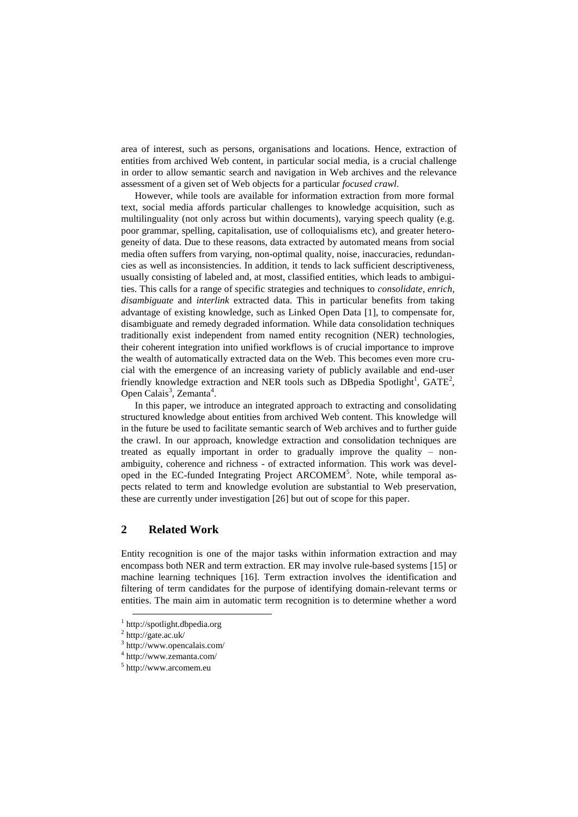area of interest, such as persons, organisations and locations. Hence, extraction of entities from archived Web content, in particular social media, is a crucial challenge in order to allow semantic search and navigation in Web archives and the relevance assessment of a given set of Web objects for a particular *focused crawl*.

However, while tools are available for information extraction from more formal text, social media affords particular challenges to knowledge acquisition, such as multilinguality (not only across but within documents), varying speech quality (e.g. poor grammar, spelling, capitalisation, use of colloquialisms etc), and greater heterogeneity of data. Due to these reasons, data extracted by automated means from social media often suffers from varying, non-optimal quality, noise, inaccuracies, redundancies as well as inconsistencies. In addition, it tends to lack sufficient descriptiveness, usually consisting of labeled and, at most, classified entities, which leads to ambiguities. This calls for a range of specific strategies and techniques to *consolidate*, *enrich*, *disambiguate* and *interlink* extracted data. This in particular benefits from taking advantage of existing knowledge, such as Linked Open Data [\[1\],](#page-12-0) to compensate for, disambiguate and remedy degraded information. While data consolidation techniques traditionally exist independent from named entity recognition (NER) technologies, their coherent integration into unified workflows is of crucial importance to improve the wealth of automatically extracted data on the Web. This becomes even more crucial with the emergence of an increasing variety of publicly available and end-user friendly knowledge extraction and NER tools such as DBpedia Spotlight<sup>1</sup>,  $GATE<sup>2</sup>$ , Open Calais<sup>3</sup>, Zemanta<sup>4</sup>.

In this paper, we introduce an integrated approach to extracting and consolidating structured knowledge about entities from archived Web content. This knowledge will in the future be used to facilitate semantic search of Web archives and to further guide the crawl. In our approach, knowledge extraction and consolidation techniques are treated as equally important in order to gradually improve the quality – nonambiguity, coherence and richness - of extracted information. This work was developed in the EC-funded Integrating Project ARCOMEM<sup>5</sup>. Note, while temporal aspects related to term and knowledge evolution are substantial to Web preservation, these are currently under investigation [\[26\]](#page-13-0) but out of scope for this paper.

# **2 Related Work**

Entity recognition is one of the major tasks within information extraction and may encompass both NER and term extraction. ER may involve rule-based systems [\[15\]](#page-13-1) or machine learning techniques [\[16\].](#page-13-2) Term extraction involves the identification and filtering of term candidates for the purpose of identifying domain-relevant terms or entities. The main aim in automatic term recognition is to determine whether a word

 $\overline{a}$ 

<sup>1</sup> http://spotlight.dbpedia.org

 $^{2}$  http://gate.ac.uk/

<sup>3</sup> http://www.opencalais.com/

<sup>4</sup> http://www.zemanta.com/

<sup>5</sup> http://www.arcomem.eu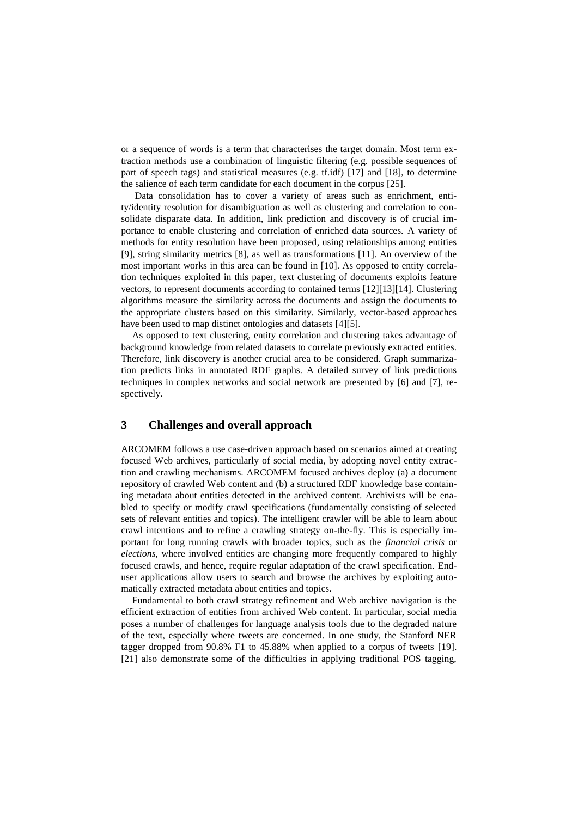or a sequence of words is a term that characterises the target domain. Most term extraction methods use a combination of linguistic filtering (e.g. possible sequences of part of speech tags) and statistical measures (e.g. tf.idf) [\[17\]](#page-13-3) and [\[18\],](#page-13-4) to determine the salience of each term candidate for each document in the corpus [\[25\].](#page-13-5)

Data consolidation has to cover a variety of areas such as enrichment, entity/identity resolution for disambiguation as well as clustering and correlation to consolidate disparate data. In addition, link prediction and discovery is of crucial importance to enable clustering and correlation of enriched data sources. A variety of methods for entity resolution have been proposed, using relationships among entities [\[9\],](#page-12-1) string similarity metrics [\[8\],](#page-12-2) as well as transformations [\[11\].](#page-12-3) An overview of the most important works in this area can be found in [\[10\].](#page-12-4) As opposed to entity correlation techniques exploited in this paper, text clustering of documents exploits feature vectors, to represent documents according to contained terms [\[12\]\[13\]](#page-12-5)[\[14\].](#page-13-6) Clustering algorithms measure the similarity across the documents and assign the documents to the appropriate clusters based on this similarity. Similarly, vector-based approaches have been used to map distinct ontologies and datasets [\[4\]\[5\].](#page-12-6)

As opposed to text clustering, entity correlation and clustering takes advantage of background knowledge from related datasets to correlate previously extracted entities. Therefore, link discovery is another crucial area to be considered. Graph summarization predicts links in annotated RDF graphs. A detailed survey of link predictions techniques in complex networks and social network are presented by [\[6\]](#page-12-7) and [\[7\],](#page-12-8) respectively.

# **3 Challenges and overall approach**

ARCOMEM follows a use case-driven approach based on scenarios aimed at creating focused Web archives, particularly of social media, by adopting novel entity extraction and crawling mechanisms. ARCOMEM focused archives deploy (a) a document repository of crawled Web content and (b) a structured RDF knowledge base containing metadata about entities detected in the archived content. Archivists will be enabled to specify or modify crawl specifications (fundamentally consisting of selected sets of relevant entities and topics). The intelligent crawler will be able to learn about crawl intentions and to refine a crawling strategy on-the-fly. This is especially important for long running crawls with broader topics, such as the *financial crisis* or *elections*, where involved entities are changing more frequently compared to highly focused crawls, and hence, require regular adaptation of the crawl specification. Enduser applications allow users to search and browse the archives by exploiting automatically extracted metadata about entities and topics.

Fundamental to both crawl strategy refinement and Web archive navigation is the efficient extraction of entities from archived Web content. In particular, social media poses a number of challenges for language analysis tools due to the degraded nature of the text, especially where tweets are concerned. In one study, the Stanford NER tagger dropped from 90.8% F1 to 45.88% when applied to a corpus of tweets [\[19\].](#page-13-7) [\[21\]](#page-13-8) also demonstrate some of the difficulties in applying traditional POS tagging,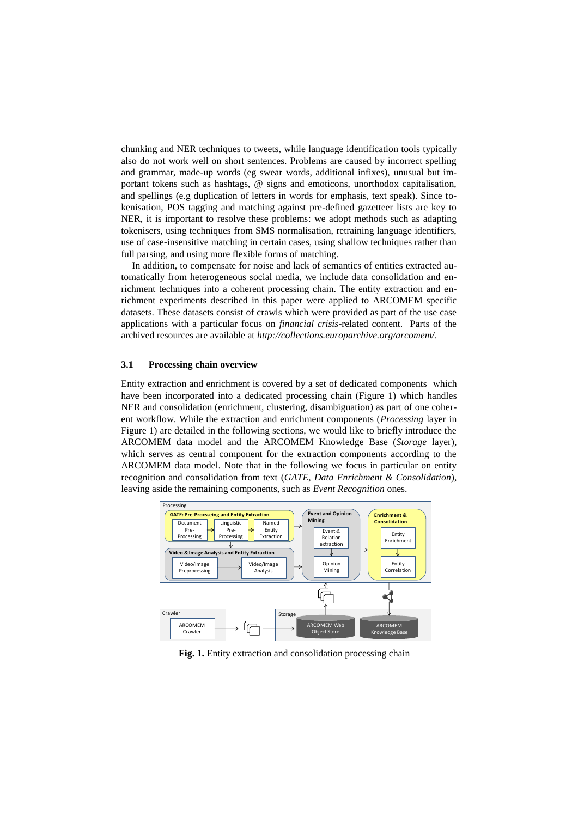chunking and NER techniques to tweets, while language identification tools typically also do not work well on short sentences. Problems are caused by incorrect spelling and grammar, made-up words (eg swear words, additional infixes), unusual but important tokens such as hashtags, @ signs and emoticons, unorthodox capitalisation, and spellings (e.g duplication of letters in words for emphasis, text speak). Since tokenisation, POS tagging and matching against pre-defined gazetteer lists are key to NER, it is important to resolve these problems: we adopt methods such as adapting tokenisers, using techniques from SMS normalisation, retraining language identifiers, use of case-insensitive matching in certain cases, using shallow techniques rather than full parsing, and using more flexible forms of matching.

In addition, to compensate for noise and lack of semantics of entities extracted automatically from heterogeneous social media, we include data consolidation and enrichment techniques into a coherent processing chain. The entity extraction and enrichment experiments described in this paper were applied to ARCOMEM specific datasets. These datasets consist of crawls which were provided as part of the use case applications with a particular focus on *financial crisis*-related content. Parts of the archived resources are available at *http://collections.europarchive.org/arcomem/*.

#### **3.1 Processing chain overview**

Entity extraction and enrichment is covered by a set of dedicated components which have been incorporated into a dedicated processing chain (Figure 1) which handles NER and consolidation (enrichment, clustering, disambiguation) as part of one coherent workflow. While the extraction and enrichment components (*Processing* layer in Figure 1) are detailed in the following sections, we would like to briefly introduce the ARCOMEM data model and the ARCOMEM Knowledge Base (*Storage* layer), which serves as central component for the extraction components according to the ARCOMEM data model. Note that in the following we focus in particular on entity recognition and consolidation from text (*GATE*, *Data Enrichment & Consolidation*), leaving aside the remaining components, such as *Event Recognition* ones.



**Fig. 1.** Entity extraction and consolidation processing chain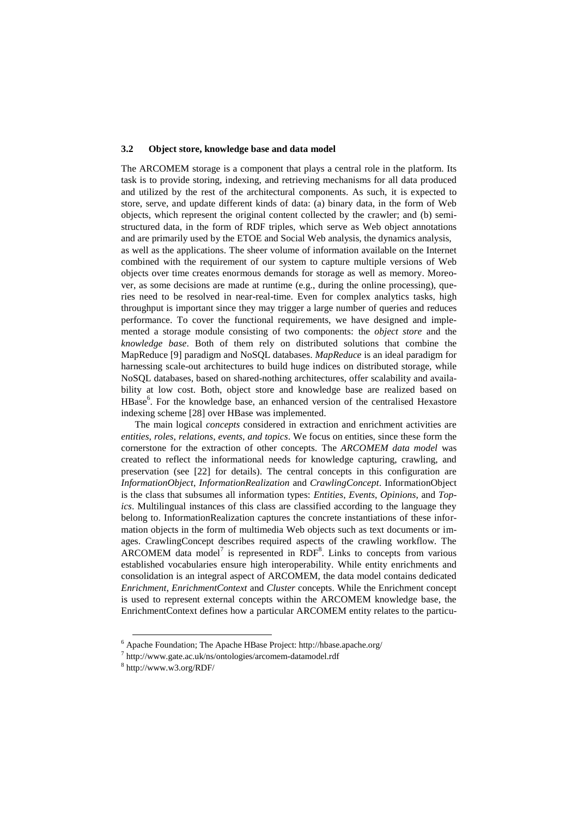#### **3.2 Object store, knowledge base and data model**

The ARCOMEM storage is a component that plays a central role in the platform. Its task is to provide storing, indexing, and retrieving mechanisms for all data produced and utilized by the rest of the architectural components. As such, it is expected to store, serve, and update different kinds of data: (a) binary data, in the form of Web objects, which represent the original content collected by the crawler; and (b) semistructured data, in the form of RDF triples, which serve as Web object annotations and are primarily used by the ETOE and Social Web analysis, the dynamics analysis, as well as the applications. The sheer volume of information available on the Internet combined with the requirement of our system to capture multiple versions of Web objects over time creates enormous demands for storage as well as memory. Moreover, as some decisions are made at runtime (e.g., during the online processing), queries need to be resolved in near-real-time. Even for complex analytics tasks, high throughput is important since they may trigger a large number of queries and reduces performance. To cover the functional requirements, we have designed and implemented a storage module consisting of two components: the *object store* and the *knowledge base*. Both of them rely on distributed solutions that combine the MapReduce [9] paradigm and NoSQL databases. *MapReduce* is an ideal paradigm for harnessing scale-out architectures to build huge indices on distributed storage, while NoSQL databases, based on shared-nothing architectures, offer scalability and availability at low cost. Both, object store and knowledge base are realized based on HBase<sup>6</sup>. For the knowledge base, an enhanced version of the centralised Hexastore indexing schem[e \[28\]](#page-13-9) over HBase was implemented.

The main logical *concepts* considered in extraction and enrichment activities are *entities*, *roles*, *relations*, *events, and topics*. We focus on entities, since these form the cornerstone for the extraction of other concepts. The *ARCOMEM data model* was created to reflect the informational needs for knowledge capturing, crawling, and preservation (see [\[22\]](#page-13-10) for details). The central concepts in this configuration are *InformationObject*, *InformationRealization* and *CrawlingConcept*. InformationObject is the class that subsumes all information types: *Entities*, *Events*, *Opinions*, and *Topics*. Multilingual instances of this class are classified according to the language they belong to. InformationRealization captures the concrete instantiations of these information objects in the form of multimedia Web objects such as text documents or images. CrawlingConcept describes required aspects of the crawling workflow. The  $\text{ARCOMEM}$  data model<sup>7</sup> is represented in  $\text{RDF}^8$ . Links to concepts from various established vocabularies ensure high interoperability. While entity enrichments and consolidation is an integral aspect of ARCOMEM, the data model contains dedicated *Enrichment*, *EnrichmentContext* and *Cluster* concepts. While the Enrichment concept is used to represent external concepts within the ARCOMEM knowledge base, the EnrichmentContext defines how a particular ARCOMEM entity relates to the particu-

 $\overline{a}$ 

<sup>6</sup> Apache Foundation; The Apache HBase Project: http://hbase.apache.org/

<sup>7</sup> http://www.gate.ac.uk/ns/ontologies/arcomem-datamodel.rdf

<sup>8</sup> http://www.w3.org/RDF/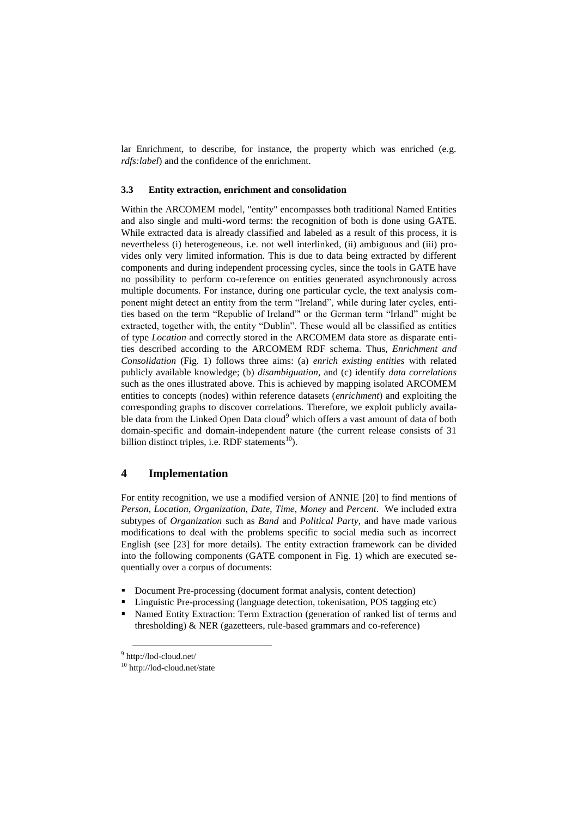lar Enrichment, to describe, for instance, the property which was enriched (e.g. *rdfs:label*) and the confidence of the enrichment.

#### **3.3 Entity extraction, enrichment and consolidation**

Within the ARCOMEM model, "entity" encompasses both traditional Named Entities and also single and multi-word terms: the recognition of both is done using GATE. While extracted data is already classified and labeled as a result of this process, it is nevertheless (i) heterogeneous, i.e. not well interlinked, (ii) ambiguous and (iii) provides only very limited information. This is due to data being extracted by different components and during independent processing cycles, since the tools in GATE have no possibility to perform co-reference on entities generated asynchronously across multiple documents. For instance, during one particular cycle, the text analysis component might detect an entity from the term "Ireland", while during later cycles, entities based on the term "Republic of Ireland"' or the German term "Irland" might be extracted, together with, the entity "Dublin". These would all be classified as entities of type *Location* and correctly stored in the ARCOMEM data store as disparate entities described according to the ARCOMEM RDF schema. Thus, *Enrichment and Consolidation* (Fig. 1) follows three aims: (a) *enrich existing entities* with related publicly available knowledge; (b) *disambiguation*, and (c) identify *data correlations* such as the ones illustrated above. This is achieved by mapping isolated ARCOMEM entities to concepts (nodes) within reference datasets (*enrichment*) and exploiting the corresponding graphs to discover correlations. Therefore, we exploit publicly available data from the Linked Open Data cloud<sup>9</sup> which offers a vast amount of data of both domain-specific and domain-independent nature (the current release consists of 31 billion distinct triples, i.e. RDF statements<sup>10</sup>).

## **4 Implementation**

For entity recognition, we use a modified version of ANNIE [\[20\]](#page-13-11) to find mentions of *Person*, *Location*, *Organization*, *Date*, *Time*, *Money* and *Percent*. We included extra subtypes of *Organization* such as *Band* and *Political Party*, and have made various modifications to deal with the problems specific to social media such as incorrect English (see [\[23\]](#page-13-12) for more details). The entity extraction framework can be divided into the following components (GATE component in Fig. 1) which are executed sequentially over a corpus of documents:

- Document Pre-processing (document format analysis, content detection)
- Linguistic Pre-processing (language detection, tokenisation, POS tagging etc)
- Named Entity Extraction: Term Extraction (generation of ranked list of terms and thresholding) & NER (gazetteers, rule-based grammars and co-reference)

-

<sup>9</sup> http://lod-cloud.net/

<sup>10</sup> http://lod-cloud.net/state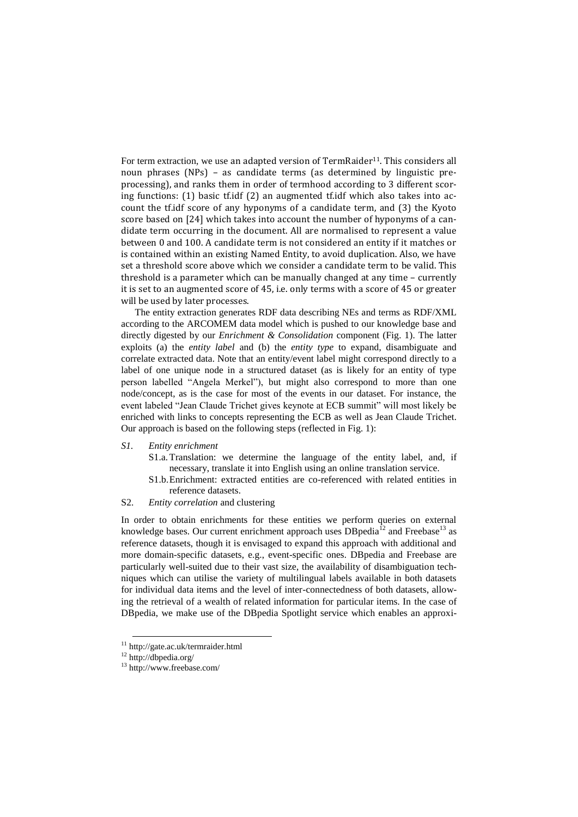For term extraction, we use an adapted version of TermRaider<sup>11</sup>. This considers all noun phrases (NPs) – as candidate terms (as determined by linguistic preprocessing), and ranks them in order of termhood according to 3 different scoring functions: (1) basic tf.idf (2) an augmented tf.idf which also takes into account the tf.idf score of any hyponyms of a candidate term, and (3) the Kyoto score based on [\[24\]](#page-13-13) which takes into account the number of hyponyms of a candidate term occurring in the document. All are normalised to represent a value between 0 and 100. A candidate term is not considered an entity if it matches or is contained within an existing Named Entity, to avoid duplication. Also, we have set a threshold score above which we consider a candidate term to be valid. This threshold is a parameter which can be manually changed at any time – currently it is set to an augmented score of 45, i.e. only terms with a score of 45 or greater will be used by later processes.

The entity extraction generates RDF data describing NEs and terms as RDF/XML according to the ARCOMEM data model which is pushed to our knowledge base and directly digested by our *Enrichment & Consolidation* component (Fig. 1). The latter exploits (a) the *entity label* and (b) the *entity type* to expand, disambiguate and correlate extracted data. Note that an entity/event label might correspond directly to a label of one unique node in a structured dataset (as is likely for an entity of type person labelled "Angela Merkel"), but might also correspond to more than one node/concept, as is the case for most of the events in our dataset. For instance, the event labeled "Jean Claude Trichet gives keynote at ECB summit" will most likely be enriched with links to concepts representing the ECB as well as Jean Claude Trichet. Our approach is based on the following steps (reflected in Fig. 1):

#### *S1. Entity enrichment*

- S1.a.Translation: we determine the language of the entity label, and, if necessary, translate it into English using an online translation service.
- S1.b.Enrichment: extracted entities are co-referenced with related entities in reference datasets.

#### S2. *Entity correlation* and clustering

In order to obtain enrichments for these entities we perform queries on external knowledge bases. Our current enrichment approach uses  $DBpedia^{12}$  and Freebase<sup>13</sup> as reference datasets, though it is envisaged to expand this approach with additional and more domain-specific datasets, e.g., event-specific ones. DBpedia and Freebase are particularly well-suited due to their vast size, the availability of disambiguation techniques which can utilise the variety of multilingual labels available in both datasets for individual data items and the level of inter-connectedness of both datasets, allowing the retrieval of a wealth of related information for particular items. In the case of DBpedia, we make use of the DBpedia Spotlight service which enables an approxi-

-

<sup>11</sup> http://gate.ac.uk/termraider.html

<sup>12</sup> http://dbpedia.org/

<sup>13</sup> http://www.freebase.com/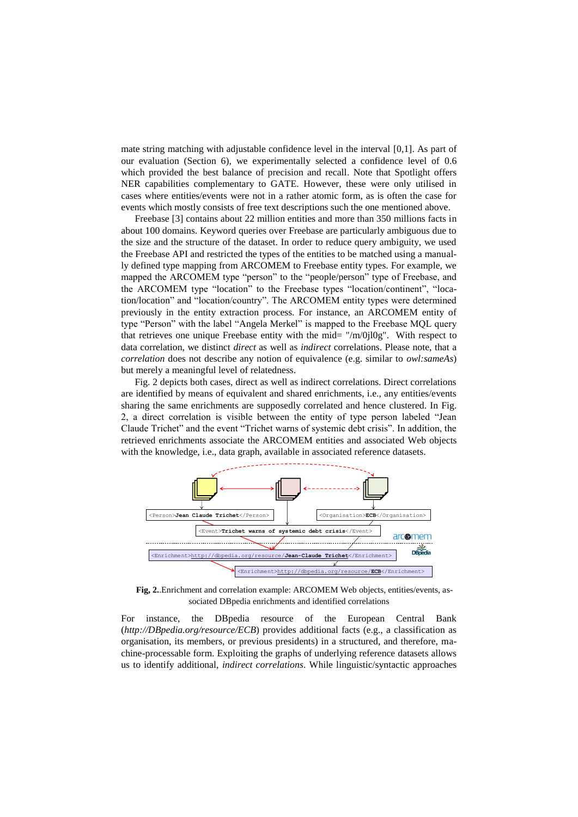mate string matching with adjustable confidence level in the interval [0,1]. As part of our evaluation (Section 6), we experimentally selected a confidence level of 0.6 which provided the best balance of precision and recall. Note that Spotlight offers NER capabilities complementary to GATE. However, these were only utilised in cases where entities/events were not in a rather atomic form, as is often the case for events which mostly consists of free text descriptions such the one mentioned above.

Freebase [\[3\]](#page-12-9) contains about 22 million entities and more than 350 millions facts in about 100 domains. Keyword queries over Freebase are particularly ambiguous due to the size and the structure of the dataset. In order to reduce query ambiguity, we used the Freebase API and restricted the types of the entities to be matched using a manually defined type mapping from ARCOMEM to Freebase entity types. For example, we mapped the ARCOMEM type "person" to the "people/person" type of Freebase, and the ARCOMEM type "location" to the Freebase types "location/continent", "location/location" and "location/country". The ARCOMEM entity types were determined previously in the entity extraction process. For instance, an ARCOMEM entity of type "Person" with the label "Angela Merkel" is mapped to the Freebase MQL query that retrieves one unique Freebase entity with the mid= "/m/0jl0g". With respect to data correlation, we distinct *direct* as well as *indirect* correlations. Please note, that a *correlation* does not describe any notion of equivalence (e.g. similar to *owl:sameAs*) but merely a meaningful level of relatedness.

Fig. 2 depicts both cases, direct as well as indirect correlations. Direct correlations are identified by means of equivalent and shared enrichments, i.e., any entities/events sharing the same enrichments are supposedly correlated and hence clustered. In Fig. 2, a direct correlation is visible between the entity of type person labeled "Jean Claude Trichet" and the event "Trichet warns of systemic debt crisis". In addition, the retrieved enrichments associate the ARCOMEM entities and associated Web objects with the knowledge, i.e., data graph, available in associated reference datasets.



**Fig, 2.**.Enrichment and correlation example: ARCOMEM Web objects, entities/events, associated DBpedia enrichments and identified correlations

For instance, the DBpedia resource of the European Central Bank (*http://DBpedia.org/resource/ECB*) provides additional facts (e.g., a classification as organisation, its members, or previous presidents) in a structured, and therefore, machine-processable form. Exploiting the graphs of underlying reference datasets allows us to identify additional, *indirect correlations*. While linguistic/syntactic approaches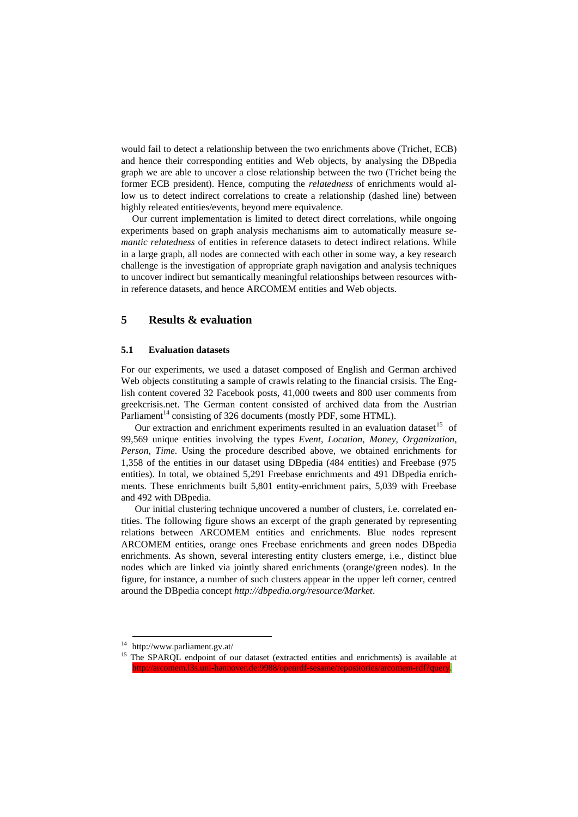would fail to detect a relationship between the two enrichments above (Trichet, ECB) and hence their corresponding entities and Web objects, by analysing the DBpedia graph we are able to uncover a close relationship between the two (Trichet being the former ECB president). Hence, computing the *relatedness* of enrichments would allow us to detect indirect correlations to create a relationship (dashed line) between highly releated entities/events, beyond mere equivalence.

Our current implementation is limited to detect direct correlations, while ongoing experiments based on graph analysis mechanisms aim to automatically measure *semantic relatedness* of entities in reference datasets to detect indirect relations. While in a large graph, all nodes are connected with each other in some way, a key research challenge is the investigation of appropriate graph navigation and analysis techniques to uncover indirect but semantically meaningful relationships between resources within reference datasets, and hence ARCOMEM entities and Web objects.

### **5 Results & evaluation**

#### **5.1 Evaluation datasets**

For our experiments, we used a dataset composed of English and German archived Web objects constituting a sample of crawls relating to the financial crsisis. The English content covered 32 Facebook posts, 41,000 tweets and 800 user comments from greekcrisis.net. The German content consisted of archived data from the Austrian Parliament<sup>14</sup> consisting of 326 documents (mostly PDF, some HTML).

Our extraction and enrichment experiments resulted in an evaluation dataset<sup>15</sup> of 99,569 unique entities involving the types *Event*, *Location*, *Money*, *Organization*, *Person*, *Time*. Using the procedure described above, we obtained enrichments for 1,358 of the entities in our dataset using DBpedia (484 entities) and Freebase (975 entities). In total, we obtained 5,291 Freebase enrichments and 491 DBpedia enrichments. These enrichments built 5,801 entity-enrichment pairs, 5,039 with Freebase and 492 with DBpedia.

Our initial clustering technique uncovered a number of clusters, i.e. correlated entities. The following figure shows an excerpt of the graph generated by representing relations between ARCOMEM entities and enrichments. Blue nodes represent ARCOMEM entities, orange ones Freebase enrichments and green nodes DBpedia enrichments. As shown, several interesting entity clusters emerge, i.e., distinct blue nodes which are linked via jointly shared enrichments (orange/green nodes). In the figure, for instance, a number of such clusters appear in the upper left corner, centred around the DBpedia concept *http://dbpedia.org/resource/Market*.

-

<sup>14</sup> http://www.parliament.gv.at/

<sup>15</sup> The SPARQL endpoint of our dataset (extracted entities and enrichments) is available at [http://arcomem.l3s.uni-hannover.de:9988/openrdf-sesame/repositories/arcomem-rdf?query.](http://arcomem.l3s.uni-hannover.de:9988/openrdf-sesame/repositories/arcomem-rdf?query)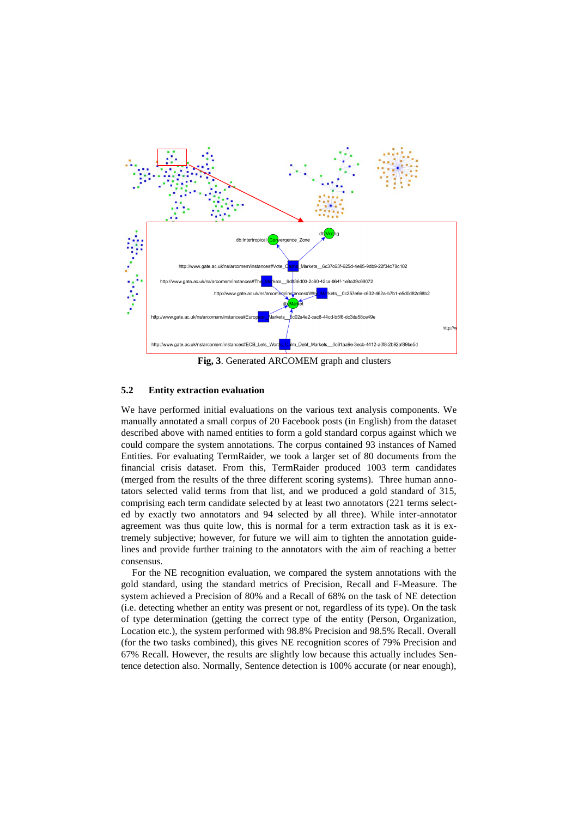

**Fig, 3**. Generated ARCOMEM graph and clusters

#### **5.2 Entity extraction evaluation**

We have performed initial evaluations on the various text analysis components. We manually annotated a small corpus of 20 Facebook posts (in English) from the dataset described above with named entities to form a gold standard corpus against which we could compare the system annotations. The corpus contained 93 instances of Named Entities. For evaluating TermRaider, we took a larger set of 80 documents from the financial crisis dataset. From this, TermRaider produced 1003 term candidates (merged from the results of the three different scoring systems). Three human annotators selected valid terms from that list, and we produced a gold standard of 315, comprising each term candidate selected by at least two annotators (221 terms selected by exactly two annotators and 94 selected by all three). While inter-annotator agreement was thus quite low, this is normal for a term extraction task as it is extremely subjective; however, for future we will aim to tighten the annotation guidelines and provide further training to the annotators with the aim of reaching a better consensus.

For the NE recognition evaluation, we compared the system annotations with the gold standard, using the standard metrics of Precision, Recall and F-Measure. The system achieved a Precision of 80% and a Recall of 68% on the task of NE detection (i.e. detecting whether an entity was present or not, regardless of its type). On the task of type determination (getting the correct type of the entity (Person, Organization, Location etc.), the system performed with 98.8% Precision and 98.5% Recall. Overall (for the two tasks combined), this gives NE recognition scores of 79% Precision and 67% Recall. However, the results are slightly low because this actually includes Sentence detection also. Normally, Sentence detection is 100% accurate (or near enough),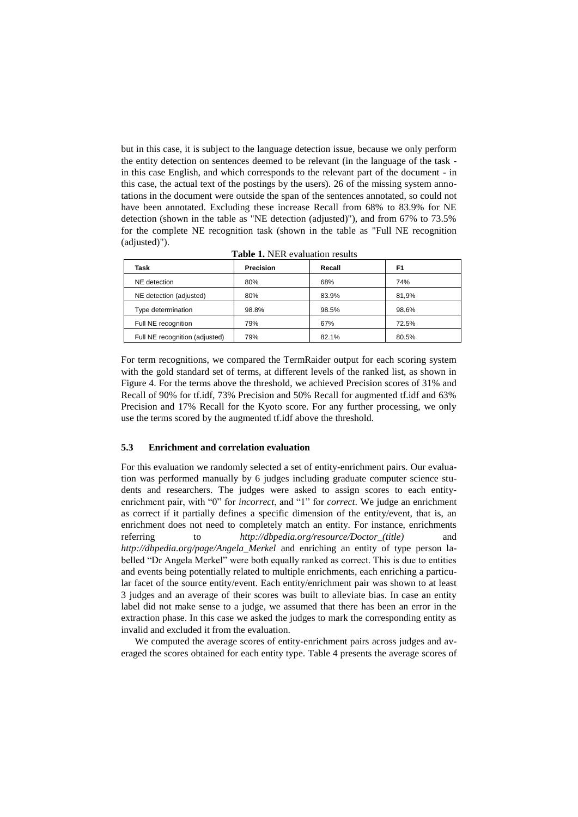but in this case, it is subject to the language detection issue, because we only perform the entity detection on sentences deemed to be relevant (in the language of the task in this case English, and which corresponds to the relevant part of the document - in this case, the actual text of the postings by the users). 26 of the missing system annotations in the document were outside the span of the sentences annotated, so could not have been annotated. Excluding these increase Recall from 68% to 83.9% for NE detection (shown in the table as "NE detection (adjusted)"), and from 67% to 73.5% for the complete NE recognition task (shown in the table as "Full NE recognition (adjusted)").

| Task                           | Precision | Recall | F1    |
|--------------------------------|-----------|--------|-------|
| NE detection                   | 80%       | 68%    | 74%   |
| NE detection (adjusted)        | 80%       | 83.9%  | 81.9% |
| Type determination             | 98.8%     | 98.5%  | 98.6% |
| Full NE recognition            | 79%       | 67%    | 72.5% |
| Full NE recognition (adjusted) | 79%       | 82.1%  | 80.5% |

**Table 1.** NER evaluation results

For term recognitions, we compared the TermRaider output for each scoring system with the gold standard set of terms, at different levels of the ranked list, as shown in Figure 4. For the terms above the threshold, we achieved Precision scores of 31% and Recall of 90% for tf.idf, 73% Precision and 50% Recall for augmented tf.idf and 63% Precision and 17% Recall for the Kyoto score. For any further processing, we only use the terms scored by the augmented tf.idf above the threshold.

#### **5.3 Enrichment and correlation evaluation**

For this evaluation we randomly selected a set of entity-enrichment pairs. Our evaluation was performed manually by 6 judges including graduate computer science students and researchers. The judges were asked to assign scores to each entityenrichment pair, with "0" for *incorrect*, and "1" for *correct*. We judge an enrichment as correct if it partially defines a specific dimension of the entity/event, that is, an enrichment does not need to completely match an entity. For instance, enrichments referring to *http://dbpedia.org/resource/Doctor (title)* and *[http://dbpedia.org/page/Angela\\_Merkel](http://dbpedia.org/page/Angela_Merkel)* and enriching an entity of type person labelled "Dr Angela Merkel" were both equally ranked as correct. This is due to entities and events being potentially related to multiple enrichments, each enriching a particular facet of the source entity/event. Each entity/enrichment pair was shown to at least 3 judges and an average of their scores was built to alleviate bias. In case an entity label did not make sense to a judge, we assumed that there has been an error in the extraction phase. In this case we asked the judges to mark the corresponding entity as invalid and excluded it from the evaluation.

We computed the average scores of entity-enrichment pairs across judges and averaged the scores obtained for each entity type. Table 4 presents the average scores of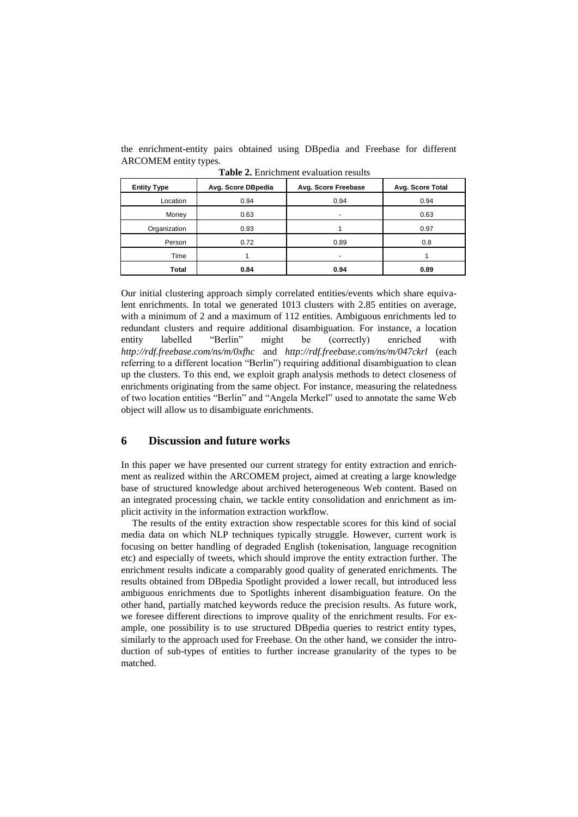the enrichment-entity pairs obtained using DBpedia and Freebase for different ARCOMEM entity types.

| <b>Entity Type</b> | Avg. Score DBpedia | Avg. Score Freebase | Avg. Score Total |
|--------------------|--------------------|---------------------|------------------|
| Location           | 0.94               | 0.94                | 0.94             |
| Money              | 0.63               |                     | 0.63             |
| Organization       | 0.93               |                     | 0.97             |
| Person             | 0.72               | 0.89                | 0.8              |
| Time               |                    |                     |                  |
| Total              | 0.84               | 0.94                | 0.89             |

**Table 2.** Enrichment evaluation results

Our initial clustering approach simply correlated entities/events which share equivalent enrichments. In total we generated 1013 clusters with 2.85 entities on average, with a minimum of 2 and a maximum of 112 entities. Ambiguous enrichments led to redundant clusters and require additional disambiguation. For instance, a location entity labelled "Berlin" might be (correctly) enriched with *<http://rdf.freebase.com/ns/m/0xfhc>* and *<http://rdf.freebase.com/ns/m/047ckrl>* (each referring to a different location "Berlin") requiring additional disambiguation to clean up the clusters. To this end, we exploit graph analysis methods to detect closeness of enrichments originating from the same object. For instance, measuring the relatedness of two location entities "Berlin" and "Angela Merkel" used to annotate the same Web object will allow us to disambiguate enrichments.

### **6 Discussion and future works**

In this paper we have presented our current strategy for entity extraction and enrichment as realized within the ARCOMEM project, aimed at creating a large knowledge base of structured knowledge about archived heterogeneous Web content. Based on an integrated processing chain, we tackle entity consolidation and enrichment as implicit activity in the information extraction workflow.

The results of the entity extraction show respectable scores for this kind of social media data on which NLP techniques typically struggle. However, current work is focusing on better handling of degraded English (tokenisation, language recognition etc) and especially of tweets, which should improve the entity extraction further. The enrichment results indicate a comparably good quality of generated enrichments. The results obtained from DBpedia Spotlight provided a lower recall, but introduced less ambiguous enrichments due to Spotlights inherent disambiguation feature. On the other hand, partially matched keywords reduce the precision results. As future work, we foresee different directions to improve quality of the enrichment results. For example, one possibility is to use structured DBpedia queries to restrict entity types, similarly to the approach used for Freebase. On the other hand, we consider the introduction of sub-types of entities to further increase granularity of the types to be matched.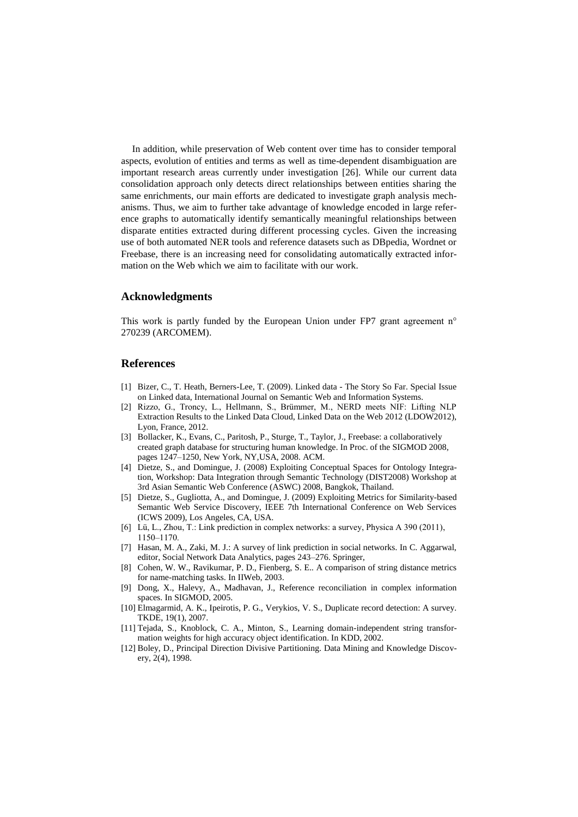In addition, while preservation of Web content over time has to consider temporal aspects, evolution of entities and terms as well as time-dependent disambiguation are important research areas currently under investigation [\[26\].](#page-13-0) While our current data consolidation approach only detects direct relationships between entities sharing the same enrichments, our main efforts are dedicated to investigate graph analysis mechanisms. Thus, we aim to further take advantage of knowledge encoded in large reference graphs to automatically identify semantically meaningful relationships between disparate entities extracted during different processing cycles. Given the increasing use of both automated NER tools and reference datasets such as DBpedia, Wordnet or Freebase, there is an increasing need for consolidating automatically extracted information on the Web which we aim to facilitate with our work.

#### **Acknowledgments**

This work is partly funded by the European Union under FP7 grant agreement n° 270239 (ARCOMEM).

#### **References**

- <span id="page-12-0"></span>[1] Bizer, C., T. Heath, Berners-Lee, T. (2009). Linked data - The Story So Far. Special Issue on Linked data, International Journal on Semantic Web and Information Systems.
- [2] Rizzo, G., Troncy, L., Hellmann, S., Brümmer, M., NERD meets NIF: Lifting NLP Extraction Results to the Linked Data Cloud, Linked Data on the Web 2012 (LDOW2012), Lyon, France, 2012.
- <span id="page-12-9"></span>[3] Bollacker, K., Evans, C., Paritosh, P., Sturge, T., Taylor, J., Freebase: a collaboratively created graph database for structuring human knowledge. In Proc. of the SIGMOD 2008, pages 1247–1250, New York, NY,USA, 2008. ACM.
- <span id="page-12-6"></span>[4] Dietze, S., and Domingue, J. (2008) Exploiting Conceptual Spaces for Ontology Integration, Workshop: Data Integration through Semantic Technology (DIST2008) Workshop at 3rd Asian Semantic Web Conference (ASWC) 2008, Bangkok, Thailand.
- [5] Dietze, S., Gugliotta, A., and Domingue, J. (2009) Exploiting Metrics for Similarity-based Semantic Web Service Discovery, IEEE 7th International Conference on Web Services (ICWS 2009), Los Angeles, CA, USA.
- <span id="page-12-7"></span>[6] Lü, L., Zhou, T.: Link prediction in complex networks: a survey, Physica A 390 (2011), 1150–1170.
- <span id="page-12-8"></span>[7] Hasan, M. A., Zaki, M. J.: A survey of link prediction in social networks. In C. Aggarwal, editor, Social Network Data Analytics, pages 243–276. Springer,
- <span id="page-12-2"></span>[8] Cohen, W. W., Ravikumar, P. D., Fienberg, S. E.. A comparison of string distance metrics for name-matching tasks. In IIWeb, 2003.
- <span id="page-12-1"></span>[9] Dong, X., Halevy, A., Madhavan, J., Reference reconciliation in complex information spaces. In SIGMOD, 2005.
- <span id="page-12-4"></span>[10] Elmagarmid, A. K., Ipeirotis, P. G., Verykios, V. S., Duplicate record detection: A survey. TKDE, 19(1), 2007.
- <span id="page-12-3"></span>[11] Tejada, S., Knoblock, C. A., Minton, S., Learning domain-independent string transformation weights for high accuracy object identification. In KDD, 2002.
- <span id="page-12-5"></span>[12] Boley, D., Principal Direction Divisive Partitioning. Data Mining and Knowledge Discovery, 2(4), 1998.